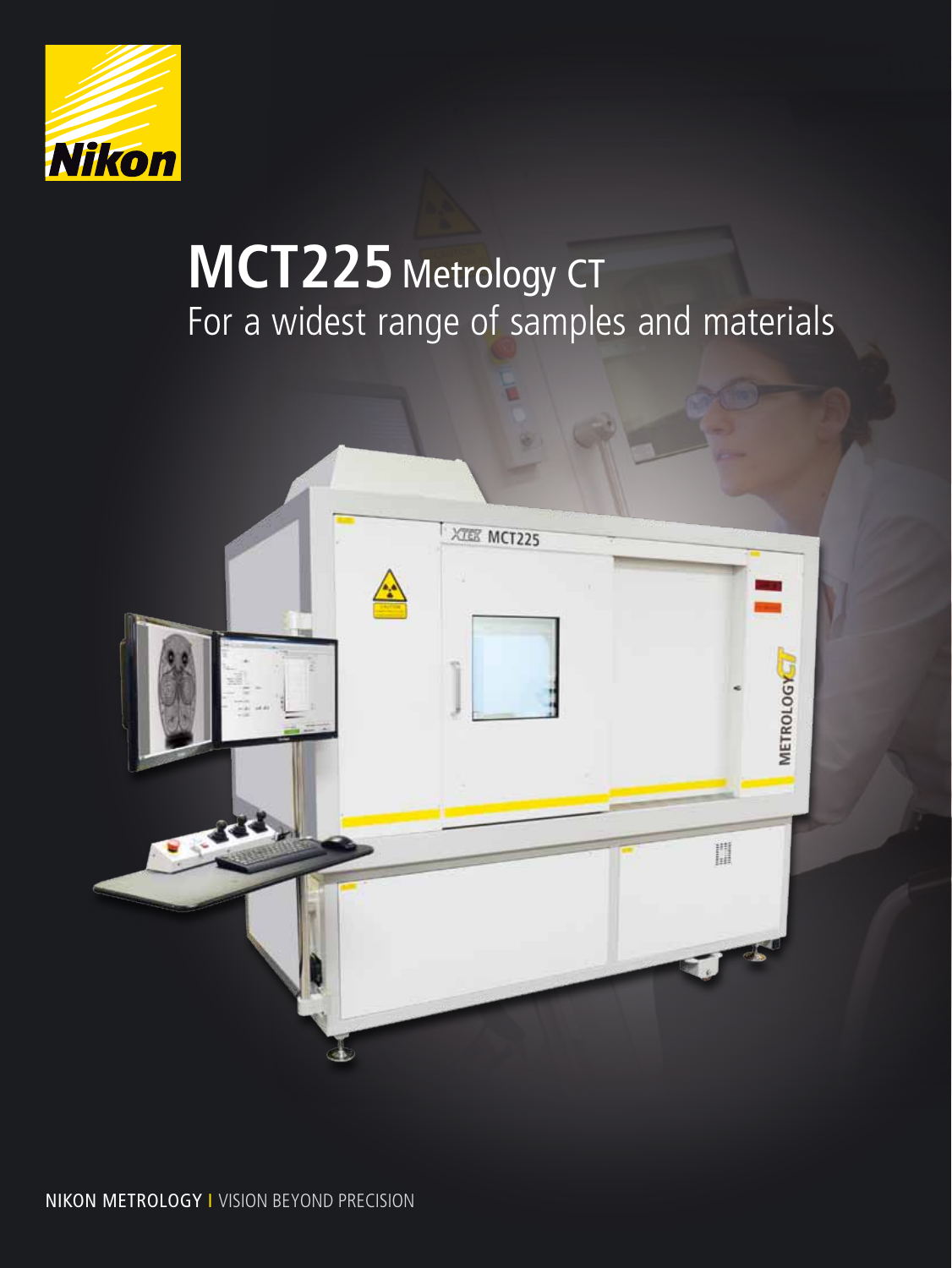

# **MCT225** Metrology CT For a widest range of samples and materials

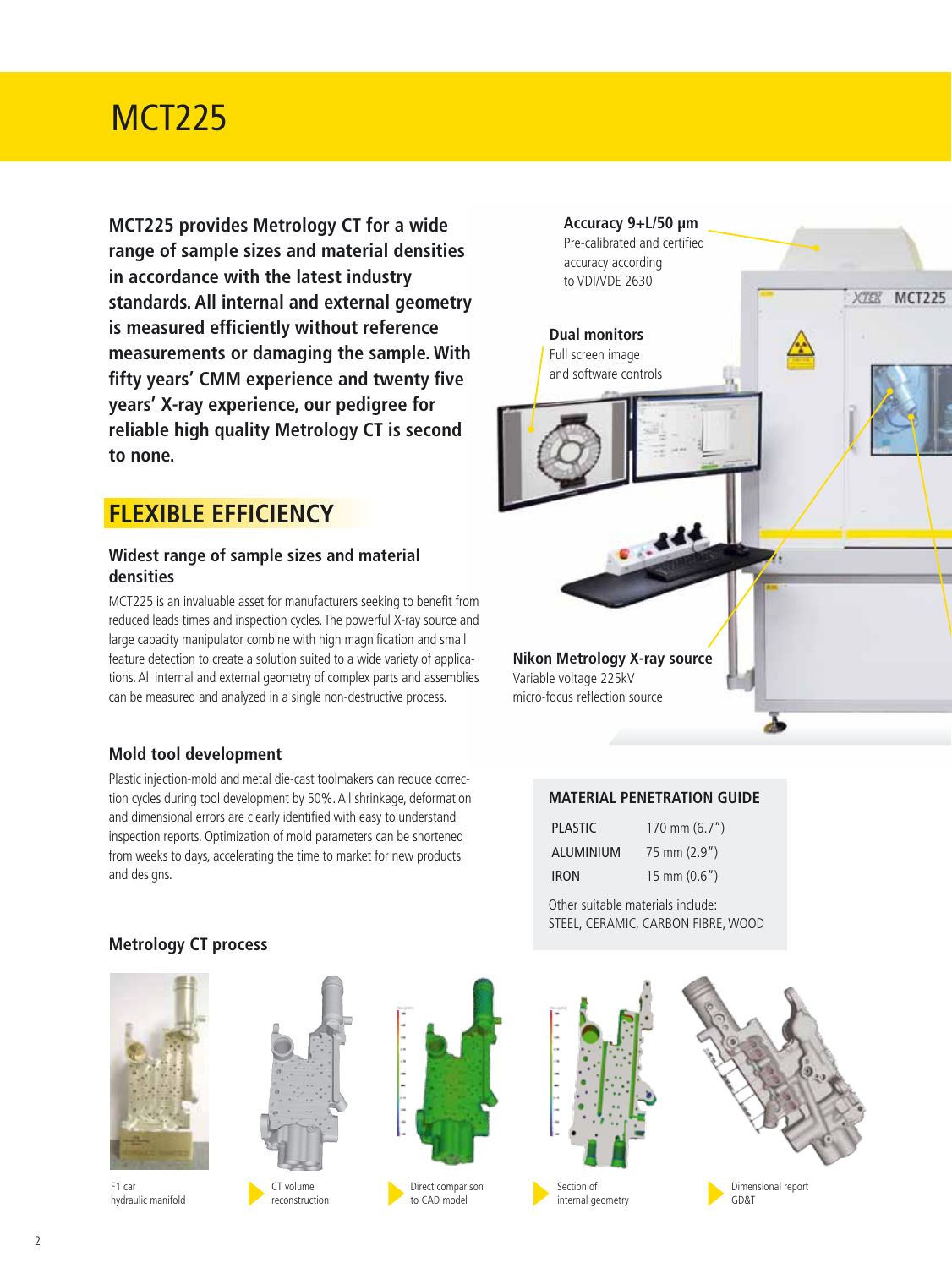## MCT225

**MCT225 provides Metrology CT for a wide range of sample sizes and material densities in accordance with the latest industry standards. All internal and external geometry is measured efficiently without reference measurements or damaging the sample. With fifty years' CMM experience and twenty five years' X-ray experience, our pedigree for reliable high quality Metrology CT is second to none.**

### **FLEXIBLE EFFICIENCY**

### **Widest range of sample sizes and material densities**

MCT225 is an invaluable asset for manufacturers seeking to benefit from reduced leads times and inspection cycles. The powerful X-ray source and large capacity manipulator combine with high magnification and small feature detection to create a solution suited to a wide variety of applications. All internal and external geometry of complex parts and assemblies can be measured and analyzed in a single non-destructive process.

### **Mold tool development**

Plastic injection-mold and metal die-cast toolmakers can reduce correction cycles during tool development by 50%. All shrinkage, deformation and dimensional errors are clearly identified with easy to understand inspection reports. Optimization of mold parameters can be shortened from weeks to days, accelerating the time to market for new products and designs.



#### **Material penetration guide**

| PLASTIC          | 170 mm $(6.7")$        |
|------------------|------------------------|
| <b>ALUMINIUM</b> | $75 \text{ mm}$ (2.9") |
| <b>IRON</b>      | $15 \text{ mm} (0.6")$ |

Other suitable materials include: STEEL, CERAMIC, CARBON FIBRE, WOOD



**Metrology CT process** 



F1 car hydraulic manifold



reconstruction



Direct comparison to CAD model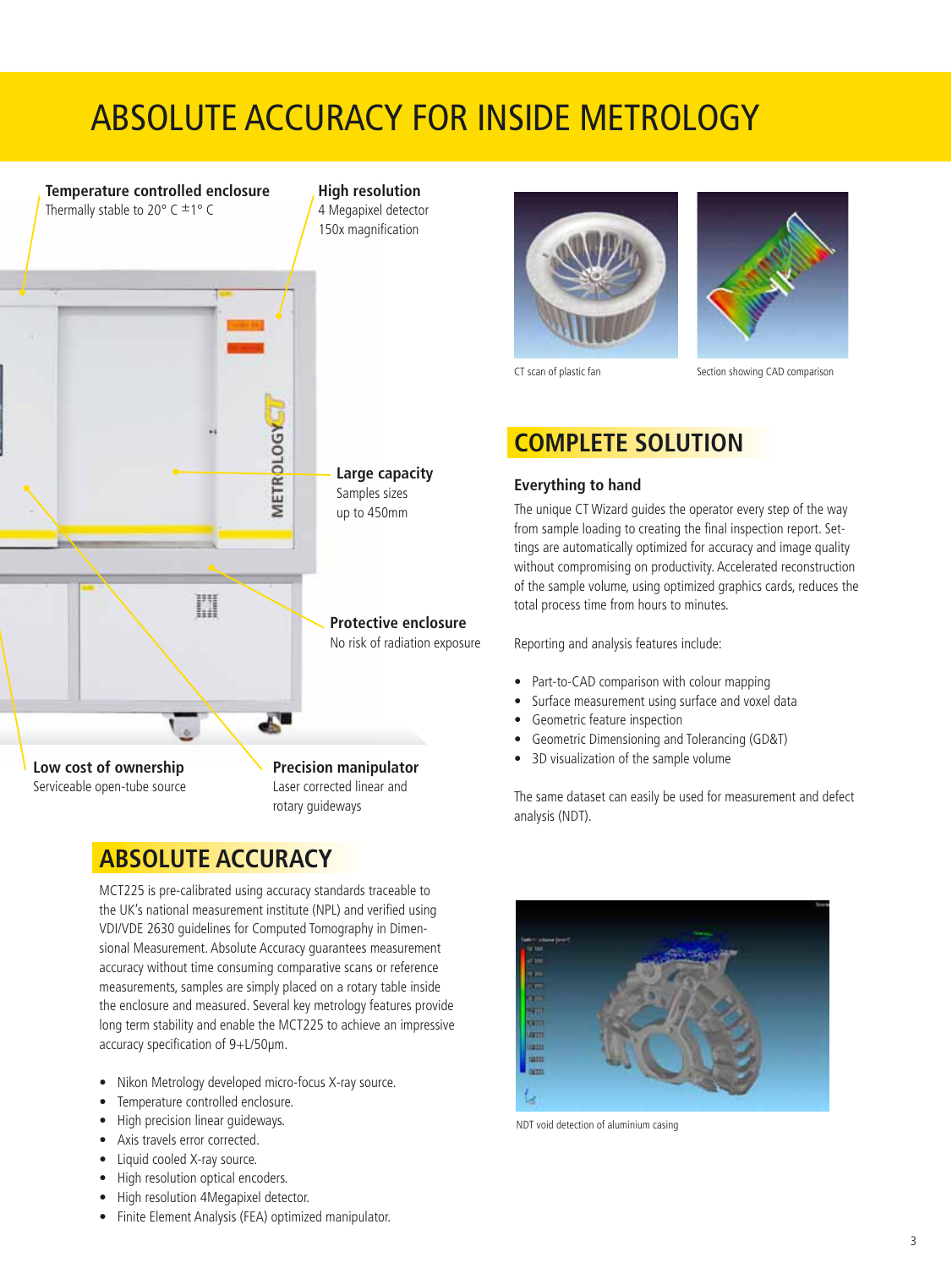## Absolute accuracy for inside metrology



## **ABSOLUTE ACCURACY**

MCT225 is pre-calibrated using accuracy standards traceable to the UK's national measurement institute (NPL) and verified using VDI/VDE 2630 guidelines for Computed Tomography in Dimensional Measurement. Absolute Accuracy guarantees measurement accuracy without time consuming comparative scans or reference measurements, samples are simply placed on a rotary table inside the enclosure and measured. Several key metrology features provide long term stability and enable the MCT225 to achieve an impressive accuracy specification of 9+L/50µm.

- Nikon Metrology developed micro-focus X-ray source.
- Temperature controlled enclosure.
- High precision linear guideways.
- Axis travels error corrected.
- Liquid cooled X-ray source.
- High resolution optical encoders.
- High resolution 4Megapixel detector.
- Finite Element Analysis (FEA) optimized manipulator.





CT scan of plastic fan Section showing CAD comparison

### **COMPLETE SOLUTION**

#### **Everything to hand**

The unique CT Wizard guides the operator every step of the way from sample loading to creating the final inspection report. Settings are automatically optimized for accuracy and image quality without compromising on productivity. Accelerated reconstruction of the sample volume, using optimized graphics cards, reduces the total process time from hours to minutes.

Reporting and analysis features include:

- Part-to-CAD comparison with colour mapping
- Surface measurement using surface and voxel data
- Geometric feature inspection
- Geometric Dimensioning and Tolerancing (GD&T)
- 3D visualization of the sample volume

The same dataset can easily be used for measurement and defect analysis (NDT).



NDT void detection of aluminium casing